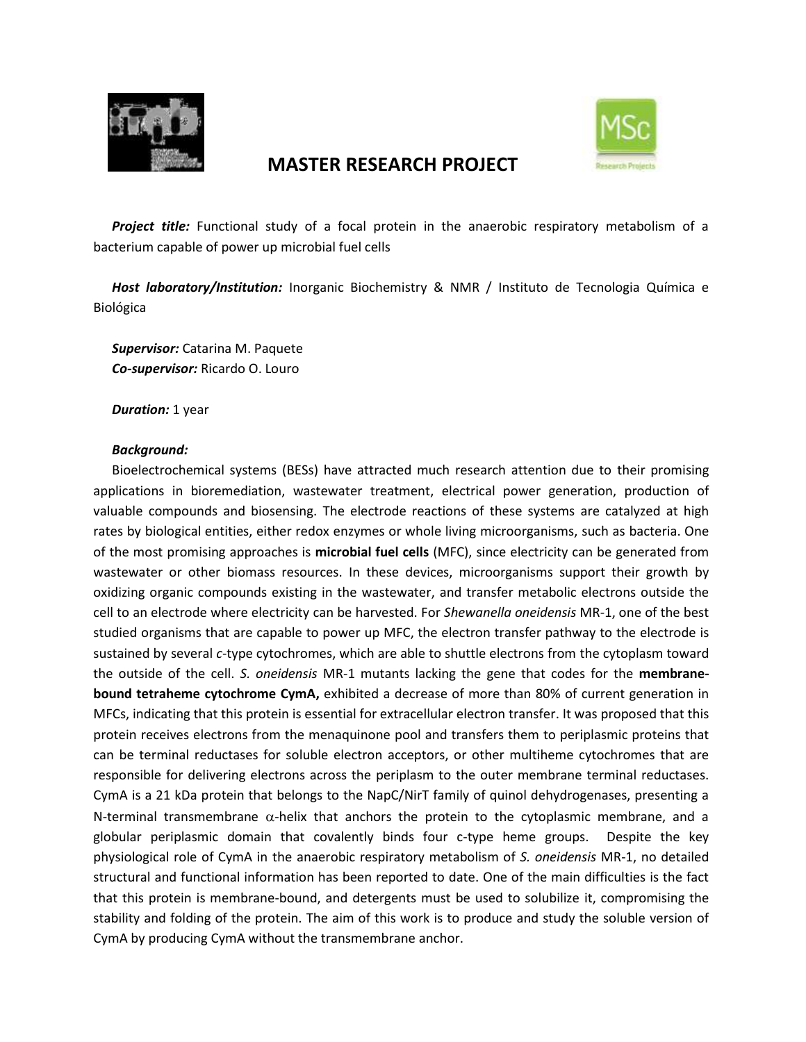

# **MASTER RESEARCH PROJECT**



*Project title:* Functional study of a focal protein in the anaerobic respiratory metabolism of a bacterium capable of power up microbial fuel cells

*Host laboratory/Institution:* Inorganic Biochemistry & NMR / Instituto de Tecnologia Química e Biológica

*Supervisor:* Catarina M. Paquete *Co-supervisor:* Ricardo O. Louro

*Duration:* 1 year

## *Background:*

Bioelectrochemical systems (BESs) have attracted much research attention due to their promising applications in bioremediation, wastewater treatment, electrical power generation, production of valuable compounds and biosensing. The electrode reactions of these systems are catalyzed at high rates by biological entities, either redox enzymes or whole living microorganisms, such as bacteria. One of the most promising approaches is **microbial fuel cells** (MFC), since electricity can be generated from wastewater or other biomass resources. In these devices, microorganisms support their growth by oxidizing organic compounds existing in the wastewater, and transfer metabolic electrons outside the cell to an electrode where electricity can be harvested. For *Shewanella oneidensis* MR-1, one of the best studied organisms that are capable to power up MFC, the electron transfer pathway to the electrode is sustained by several *c*-type cytochromes, which are able to shuttle electrons from the cytoplasm toward the outside of the cell. *S. oneidensis* MR-1 mutants lacking the gene that codes for the **membranebound tetraheme cytochrome CymA,** exhibited a decrease of more than 80% of current generation in MFCs, indicating that this protein is essential for extracellular electron transfer. It was proposed that this protein receives electrons from the menaquinone pool and transfers them to periplasmic proteins that can be terminal reductases for soluble electron acceptors, or other multiheme cytochromes that are responsible for delivering electrons across the periplasm to the outer membrane terminal reductases. CymA is a 21 kDa protein that belongs to the NapC/NirT family of quinol dehydrogenases, presenting a N-terminal transmembrane  $\alpha$ -helix that anchors the protein to the cytoplasmic membrane, and a globular periplasmic domain that covalently binds four c-type heme groups. Despite the key physiological role of CymA in the anaerobic respiratory metabolism of *S. oneidensis* MR-1, no detailed structural and functional information has been reported to date. One of the main difficulties is the fact that this protein is membrane-bound, and detergents must be used to solubilize it, compromising the stability and folding of the protein. The aim of this work is to produce and study the soluble version of CymA by producing CymA without the transmembrane anchor.